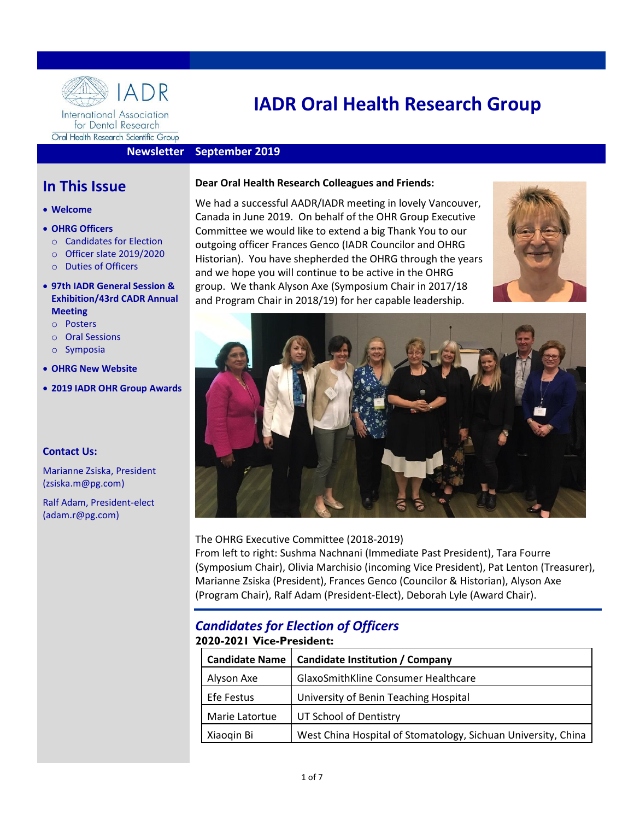

Oral Health Research Scientific Group

# **IADR Oral Health Research Group**

#### **Newsletter September 2019**

# **In This Issue**

- **Welcome**
- **OHRG Officers**
	- o [Candidates for Election](#page-0-0)
	- o Officer slate [2019/2020](#page-1-0)
	- o [Duties of Officers](#page-2-0)

#### • **[97th IADR General Session &](#page-1-1)  [Exhibition/43rd](#page-1-1) CADR Annual [Meeting](#page-1-1)**

- o Posters
- o Oral Sessions
- o Symposia
- **[OHRG New Website](#page-2-1)**
- **2019 [IADR OHR Group Awards](#page-5-0)**

#### **Contact Us:**

Marianne Zsiska, President (zsiska.m@pg.com)

Ralf Adam, President-elect (adam.r@pg.com)

#### **Dear Oral Health Research Colleagues and Friends:**

We had a successful AADR/IADR meeting in lovely Vancouver, Canada in June 2019. On behalf of the OHR Group Executive Committee we would like to extend a big Thank You to our outgoing officer Frances Genco (IADR Councilor and OHRG Historian). You have shepherded the OHRG through the years and we hope you will continue to be active in the OHRG group. We thank Alyson Axe (Symposium Chair in 2017/18 and Program Chair in 2018/19) for her capable leadership.





#### The OHRG Executive Committee (2018-2019)

From left to right: Sushma Nachnani (Immediate Past President), Tara Fourre (Symposium Chair), Olivia Marchisio (incoming Vice President), Pat Lenton (Treasurer), Marianne Zsiska (President), Frances Genco (Councilor & Historian), Alyson Axe (Program Chair), Ralf Adam (President-Elect), Deborah Lyle (Award Chair).

# <span id="page-0-0"></span>*Candidates for Election of Officers* **2020-2021 Vice-President:**

| <b>Candidate Name</b> | <b>Candidate Institution / Company</b>                        |  |
|-----------------------|---------------------------------------------------------------|--|
| Alyson Axe            | GlaxoSmithKline Consumer Healthcare                           |  |
| Efe Festus            | University of Benin Teaching Hospital                         |  |
| Marie Latortue        | UT School of Dentistry                                        |  |
| Xiaogin Bi            | West China Hospital of Stomatology, Sichuan University, China |  |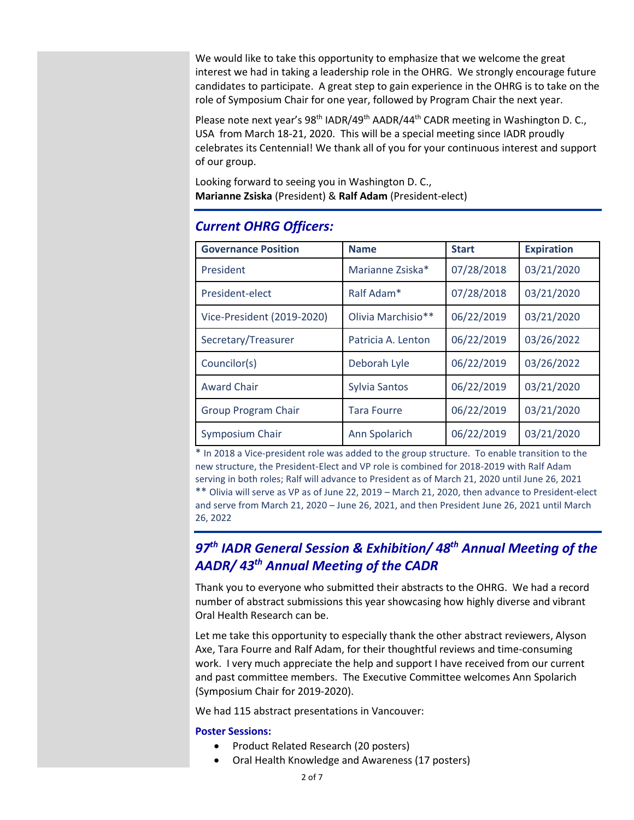We would like to take this opportunity to emphasize that we welcome the great interest we had in taking a leadership role in the OHRG. We strongly encourage future candidates to participate. A great step to gain experience in the OHRG is to take on the role of Symposium Chair for one year, followed by Program Chair the next year.

Please note next year's 98<sup>th</sup> IADR/49<sup>th</sup> AADR/44<sup>th</sup> CADR meeting in Washington D. C., USA from March 18-21, 2020. This will be a special meeting since IADR proudly celebrates its Centennial! We thank all of you for your continuous interest and support of our group.

Looking forward to seeing you in Washington D. C., **Marianne Zsiska** (President) & **Ralf Adam** (President-elect)

| <b>Governance Position</b> | <b>Name</b>          | <b>Start</b> | <b>Expiration</b> |
|----------------------------|----------------------|--------------|-------------------|
| President                  | Marianne Zsiska*     | 07/28/2018   | 03/21/2020        |
| President-elect            | Ralf Adam*           | 07/28/2018   | 03/21/2020        |
| Vice-President (2019-2020) | Olivia Marchisio**   | 06/22/2019   | 03/21/2020        |
| Secretary/Treasurer        | Patricia A. Lenton   | 06/22/2019   | 03/26/2022        |
| Councilor(s)               | Deborah Lyle         | 06/22/2019   | 03/26/2022        |
| <b>Award Chair</b>         | <b>Sylvia Santos</b> | 06/22/2019   | 03/21/2020        |
| <b>Group Program Chair</b> | <b>Tara Fourre</b>   | 06/22/2019   | 03/21/2020        |
| Symposium Chair            | Ann Spolarich        | 06/22/2019   | 03/21/2020        |

# <span id="page-1-0"></span>*Current OHRG Officers:*

\* In 2018 a Vice-president role was added to the group structure. To enable transition to the new structure, the President-Elect and VP role is combined for 2018-2019 with Ralf Adam serving in both roles; Ralf will advance to President as of March 21, 2020 until June 26, 2021 \*\* Olivia will serve as VP as of June 22, 2019 – March 21, 2020, then advance to President-elect and serve from March 21, 2020 – June 26, 2021, and then President June 26, 2021 until March 26, 2022

# <span id="page-1-1"></span>*97 th IADR General Session & Exhibition/ 48 th Annual Meeting of the AADR/ 43 th Annual Meeting of the CADR*

Thank you to everyone who submitted their abstracts to the OHRG. We had a record number of abstract submissions this year showcasing how highly diverse and vibrant Oral Health Research can be.

Let me take this opportunity to especially thank the other abstract reviewers, Alyson Axe, Tara Fourre and Ralf Adam, for their thoughtful reviews and time-consuming work. I very much appreciate the help and support I have received from our current and past committee members. The Executive Committee welcomes Ann Spolarich (Symposium Chair for 2019-2020).

We had 115 abstract presentations in Vancouver:

#### **Poster Sessions:**

- Product Related Research (20 posters)
- Oral Health Knowledge and Awareness (17 posters)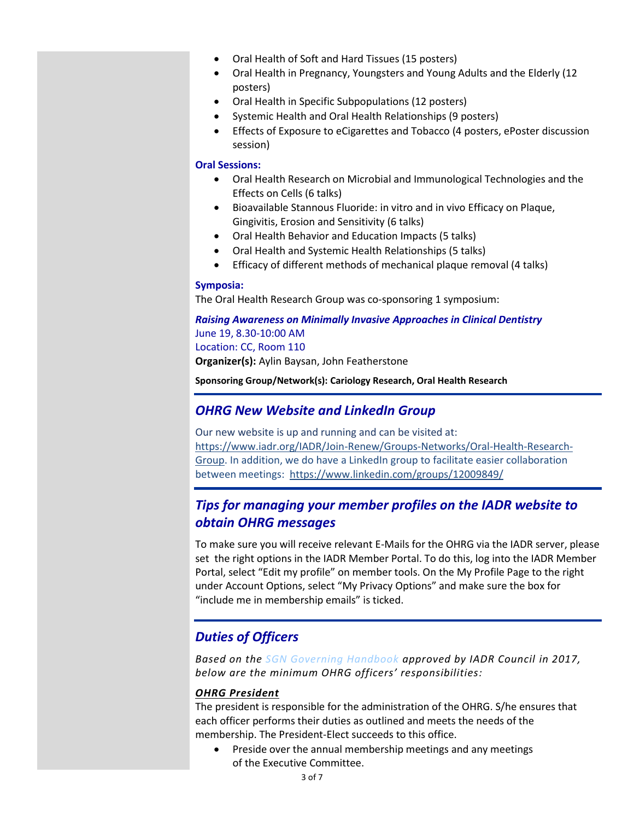- Oral Health of Soft and Hard Tissues (15 posters)
- Oral Health in Pregnancy, Youngsters and Young Adults and the Elderly (12 posters)
- Oral Health in Specific Subpopulations (12 posters)
- Systemic Health and Oral Health Relationships (9 posters)
- Effects of Exposure to eCigarettes and Tobacco (4 posters, ePoster discussion session)

#### **Oral Sessions:**

- Oral Health Research on Microbial and Immunological Technologies and the Effects on Cells (6 talks)
- Bioavailable Stannous Fluoride: in vitro and in vivo Efficacy on Plaque, Gingivitis, Erosion and Sensitivity (6 talks)
- Oral Health Behavior and Education Impacts (5 talks)
- Oral Health and Systemic Health Relationships (5 talks)
- Efficacy of different methods of mechanical plaque removal (4 talks)

#### **Symposia:**

The Oral Health Research Group was co-sponsoring 1 symposium:

#### *Raising Awareness on Minimally Invasive Approaches in Clinical Dentistry* June 19, 8.30-10:00 AM Location: CC, Room 110 **Organizer(s):** Aylin Baysan, John Featherstone

**Sponsoring Group/Network(s): Cariology Research, Oral Health Research**

#### <span id="page-2-1"></span>*OHRG New Website and LinkedIn Group*

Our new website is up and running and can be visited at: [https://www.iadr.org/IADR/Join-Renew/Groups-Networks/Oral-Health-Research-](https://www.iadr.org/IADR/Join-Renew/Groups-Networks/Oral-Health-Research-Group)[Group.](https://www.iadr.org/IADR/Join-Renew/Groups-Networks/Oral-Health-Research-Group) In addition, we do have a LinkedIn group to facilitate easier collaboration between meetings: https://www.linkedin.com/groups/12009849/

### *Tips for managing your member profiles on the IADR website to obtain OHRG messages*

To make sure you will receive relevant E-Mails for the OHRG via the IADR server, please set the right options in the IADR Member Portal. To do this, log into the IADR Member Portal, select "Edit my profile" on member tools. On the My Profile Page to the right under Account Options, select "My Privacy Options" and make sure the box for "include me in membership emails" is ticked.

### <span id="page-2-0"></span>*Duties of Officers*

*Based on the SGN [Governing Handbook](https://www.iadr.org/Portals/69/docs/Groups/IADR_SGN_Governance_Handbook.pdf) approved by IADR Council in 2017, below are the minimum OHRG officers' responsibilities:*

#### *OHRG President*

The president is responsible for the administration of the OHRG. S/he ensures that each officer performs their duties as outlined and meets the needs of the membership. The President-Elect succeeds to this office.

• Preside over the annual membership meetings and any meetings of the Executive Committee.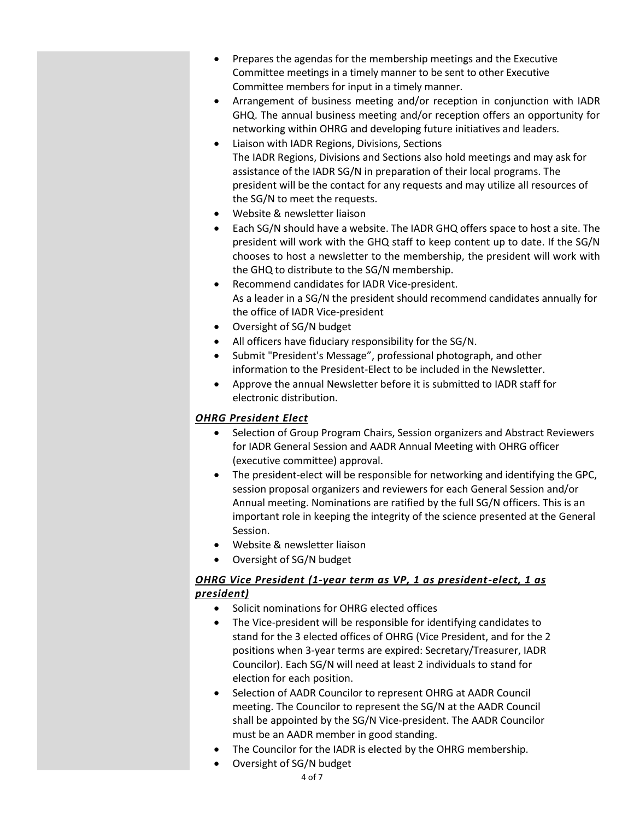- Prepares the agendas for the membership meetings and the Executive Committee meetings in a timely manner to be sent to other Executive Committee members for input in a timely manner.
- Arrangement of business meeting and/or reception in conjunction with IADR GHQ. The annual business meeting and/or reception offers an opportunity for networking within OHRG and developing future initiatives and leaders.
- Liaison with IADR Regions, Divisions, Sections The IADR Regions, Divisions and Sections also hold meetings and may ask for assistance of the IADR SG/N in preparation of their local programs. The president will be the contact for any requests and may utilize all resources of the SG/N to meet the requests.
- Website & newsletter liaison
- Each SG/N should have a website. The IADR GHQ offers space to host a site. The president will work with the GHQ staff to keep content up to date. If the SG/N chooses to host a newsletter to the membership, the president will work with the GHQ to distribute to the SG/N membership.
- Recommend candidates for IADR Vice-president. As a leader in a SG/N the president should recommend candidates annually for the office of IADR Vice-president
- Oversight of SG/N budget
- All officers have fiduciary responsibility for the SG/N.
- Submit "President's Message", professional photograph, and other information to the President-Elect to be included in the Newsletter.
- Approve the annual Newsletter before it is submitted to IADR staff for electronic distribution.

#### *OHRG President Elect*

- Selection of Group Program Chairs, Session organizers and Abstract Reviewers for IADR General Session and AADR Annual Meeting with OHRG officer (executive committee) approval.
- The president-elect will be responsible for networking and identifying the GPC, session proposal organizers and reviewers for each General Session and/or Annual meeting. Nominations are ratified by the full SG/N officers. This is an important role in keeping the integrity of the science presented at the General Session.
- Website & newsletter liaison
- Oversight of SG/N budget

#### *OHRG Vice President (1-year term as VP, 1 as president-elect, 1 as president)*

- Solicit nominations for OHRG elected offices
- The Vice-president will be responsible for identifying candidates to stand for the 3 elected offices of OHRG (Vice President, and for the 2 positions when 3-year terms are expired: Secretary/Treasurer, IADR Councilor). Each SG/N will need at least 2 individuals to stand for election for each position.
- Selection of AADR Councilor to represent OHRG at AADR Council meeting. The Councilor to represent the SG/N at the AADR Council shall be appointed by the SG/N Vice-president. The AADR Councilor must be an AADR member in good standing.
- The Councilor for the IADR is elected by the OHRG membership.
	- Oversight of SG/N budget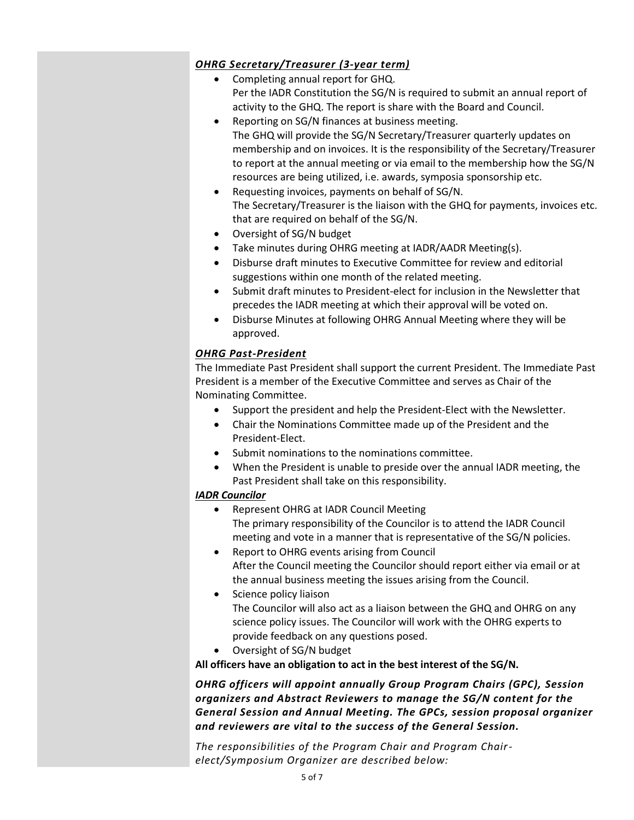### *OHRG Secretary/Treasurer (3-year term)*

- Completing annual report for GHQ. Per the IADR Constitution the SG/N is required to submit an annual report of activity to the GHQ. The report is share with the Board and Council.
- Reporting on SG/N finances at business meeting. The GHQ will provide the SG/N Secretary/Treasurer quarterly updates on membership and on invoices. It is the responsibility of the Secretary/Treasurer to report at the annual meeting or via email to the membership how the SG/N resources are being utilized, i.e. awards, symposia sponsorship etc.
- Requesting invoices, payments on behalf of SG/N. The Secretary/Treasurer is the liaison with the GHQ for payments, invoices etc. that are required on behalf of the SG/N.
- Oversight of SG/N budget
- Take minutes during OHRG meeting at IADR/AADR Meeting(s).
- Disburse draft minutes to Executive Committee for review and editorial suggestions within one month of the related meeting.
- Submit draft minutes to President-elect for inclusion in the Newsletter that precedes the IADR meeting at which their approval will be voted on.
- Disburse Minutes at following OHRG Annual Meeting where they will be approved.

#### *OHRG Past-President*

The Immediate Past President shall support the current President. The Immediate Past President is a member of the Executive Committee and serves as Chair of the Nominating Committee.

- Support the president and help the President-Elect with the Newsletter.
- Chair the Nominations Committee made up of the President and the President-Elect.
- Submit nominations to the nominations committee.
- When the President is unable to preside over the annual IADR meeting, the Past President shall take on this responsibility.

#### *IADR Councilor*

- Represent OHRG at IADR Council Meeting The primary responsibility of the Councilor is to attend the IADR Council meeting and vote in a manner that is representative of the SG/N policies.
- Report to OHRG events arising from Council After the Council meeting the Councilor should report either via email or at the annual business meeting the issues arising from the Council.
- Science policy liaison The Councilor will also act as a liaison between the GHQ and OHRG on any science policy issues. The Councilor will work with the OHRG experts to provide feedback on any questions posed.
- Oversight of SG/N budget

**All officers have an obligation to act in the best interest of the SG/N.**

*OHRG officers will appoint annually Group Program Chairs (GPC), Session organizers and Abstract Reviewers to manage the SG/N content for the General Session and Annual Meeting. The GPCs, session proposal organizer and reviewers are vital to the success of the General Session.* 

*The responsibilities of the Program Chair and Program Chairelect/Symposium Organizer are described below:*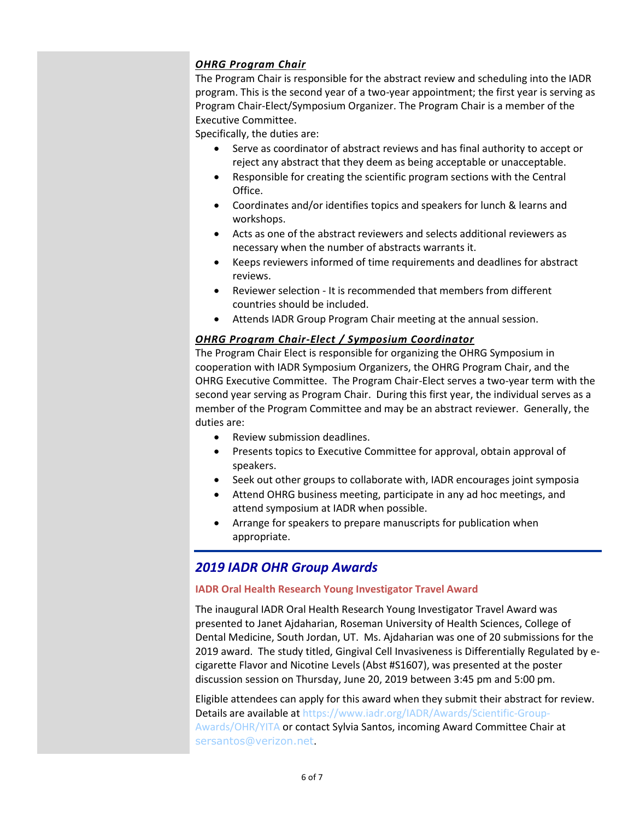#### *OHRG Program Chair*

The Program Chair is responsible for the abstract review and scheduling into the IADR program. This is the second year of a two-year appointment; the first year is serving as Program Chair-Elect/Symposium Organizer. The Program Chair is a member of the Executive Committee.

Specifically, the duties are:

- Serve as coordinator of abstract reviews and has final authority to accept or reject any abstract that they deem as being acceptable or unacceptable.
- Responsible for creating the scientific program sections with the Central Office.
- Coordinates and/or identifies topics and speakers for lunch & learns and workshops.
- Acts as one of the abstract reviewers and selects additional reviewers as necessary when the number of abstracts warrants it.
- Keeps reviewers informed of time requirements and deadlines for abstract reviews.
- Reviewer selection It is recommended that members from different countries should be included.
- Attends IADR Group Program Chair meeting at the annual session.

#### *OHRG Program Chair-Elect / Symposium Coordinator*

The Program Chair Elect is responsible for organizing the OHRG Symposium in cooperation with IADR Symposium Organizers, the OHRG Program Chair, and the OHRG Executive Committee. The Program Chair-Elect serves a two-year term with the second year serving as Program Chair. During this first year, the individual serves as a member of the Program Committee and may be an abstract reviewer. Generally, the duties are:

- Review submission deadlines.
- Presents topics to Executive Committee for approval, obtain approval of speakers.
- Seek out other groups to collaborate with, IADR encourages joint symposia
- Attend OHRG business meeting, participate in any ad hoc meetings, and attend symposium at IADR when possible.
- Arrange for speakers to prepare manuscripts for publication when appropriate.

# <span id="page-5-0"></span>*2019 IADR OHR Group Awards*

#### **IADR Oral Health Research Young Investigator Travel Award**

The inaugural IADR Oral Health Research Young Investigator Travel Award was presented to Janet Ajdaharian, Roseman University of Health Sciences, College of Dental Medicine, South Jordan, UT. Ms. Ajdaharian was one of 20 submissions for the 2019 award. The study titled, Gingival Cell Invasiveness is Differentially Regulated by ecigarette Flavor and Nicotine Levels (Abst #S1607), was presented at the poster discussion session on Thursday, June 20, 2019 between 3:45 pm and 5:00 pm.

Eligible attendees can apply for this award when they submit their abstract for review. Details are available at [https://www.iadr.org/IADR/Awards/Scientific-Group-](https://www.iadr.org/IADR/Awards/Scientific-Group-Awards/OHR/YITA)[Awards/OHR/YITA](https://www.iadr.org/IADR/Awards/Scientific-Group-Awards/OHR/YITA) or contact Sylvia Santos, incoming Award Committee Chair at [sersantos@verizon.net](mailto:sersantos@verizon.net).